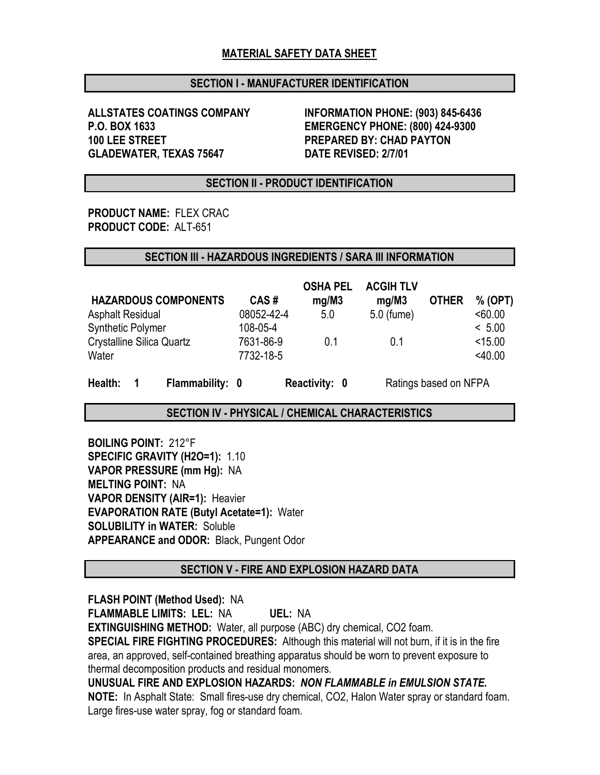### MATERIAL SAFETY DATA SHEET

### SECTION I - MANUFACTURER IDENTIFICATION

100 LEE STREET PREPARED BY: CHAD PAYTON GLADEWATER, TEXAS 75647 DATE REVISED: 2/7/01

ALLSTATES COATINGS COMPANY INFORMATION PHONE: (903) 845-6436 P.O. BOX 1633 EMERGENCY PHONE: (800) 424-9300

### SECTION II - PRODUCT IDENTIFICATION

PRODUCT NAME: FLEX CRAC PRODUCT CODE: ALT-651

#### SECTION III - HAZARDOUS INGREDIENTS / SARA III INFORMATION

|                                  |            | <b>OSHA PEL</b> | <b>ACGIH TLV</b> |              |           |
|----------------------------------|------------|-----------------|------------------|--------------|-----------|
| <b>HAZARDOUS COMPONENTS</b>      | CAS#       | mg/M3           | mg/M3            | <b>OTHER</b> | % (OPT)   |
| <b>Asphalt Residual</b>          | 08052-42-4 | 5.0             | 5.0 (fume)       |              | < 60.00   |
| <b>Synthetic Polymer</b>         | 108-05-4   |                 |                  |              | < 5.00    |
| <b>Crystalline Silica Quartz</b> | 7631-86-9  | 0 1             | 0 1              |              | < 15.00   |
| Water                            | 7732-18-5  |                 |                  |              | $<$ 40.00 |
|                                  |            |                 |                  |              |           |

Health: 1 Flammability: 0 Reactivity: 0 Ratings based on NFPA

SECTION IV - PHYSICAL / CHEMICAL CHARACTERISTICS

BOILING POINT: 212°F SPECIFIC GRAVITY (H2O=1): 1.10 VAPOR PRESSURE (mm Hg): NA MELTING POINT: NA VAPOR DENSITY (AIR=1): Heavier EVAPORATION RATE (Butyl Acetate=1): Water SOLUBILITY in WATER: Soluble APPEARANCE and ODOR: Black, Pungent Odor

SECTION V - FIRE AND EXPLOSION HAZARD DATA

FLASH POINT (Method Used): NA FLAMMABLE LIMITS: LEL: NA UEL: NA EXTINGUISHING METHOD: Water, all purpose (ABC) dry chemical, CO2 foam. SPECIAL FIRE FIGHTING PROCEDURES: Although this material will not burn, if it is in the fire area, an approved, self-contained breathing apparatus should be worn to prevent exposure to thermal decomposition products and residual monomers. UNUSUAL FIRE AND EXPLOSION HAZARDS: *NON FLAMMABLE in EMULSION STATE.* NOTE: In Asphalt State: Small fires-use dry chemical, CO2, Halon Water spray or standard foam. Large fires-use water spray, fog or standard foam.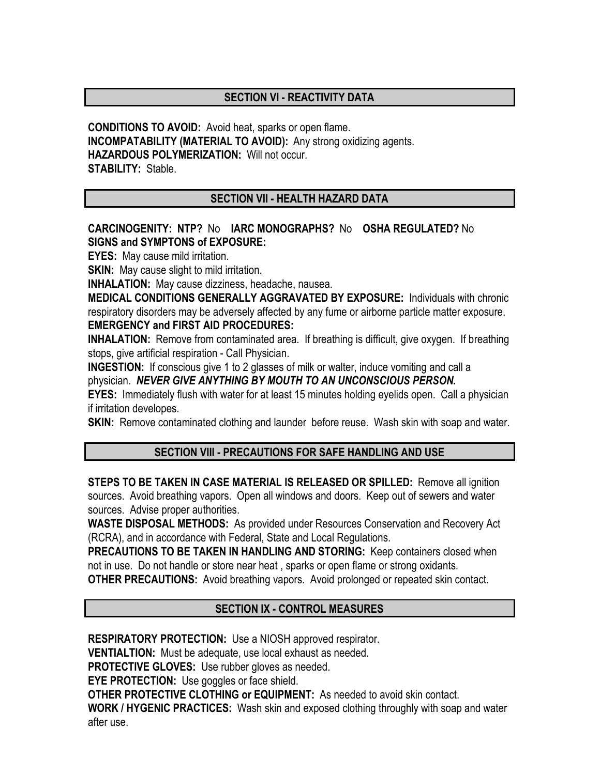# SECTION VI - REACTIVITY DATA

CONDITIONS TO AVOID: Avoid heat, sparks or open flame. INCOMPATABILITY (MATERIAL TO AVOID): Any strong oxidizing agents. HAZARDOUS POLYMERIZATION: Will not occur. STABILITY: Stable.

## SECTION VII - HEALTH HAZARD DATA

## CARCINOGENITY: NTP? No IARC MONOGRAPHS? No OSHA REGULATED? No SIGNS and SYMPTONS of EXPOSURE:

EYES: May cause mild irritation.

**SKIN:** May cause slight to mild irritation.

INHALATION: May cause dizziness, headache, nausea.

MEDICAL CONDITIONS GENERALLY AGGRAVATED BY EXPOSURE: Individuals with chronic respiratory disorders may be adversely affected by any fume or airborne particle matter exposure. EMERGENCY and FIRST AID PROCEDURES:

**INHALATION:** Remove from contaminated area. If breathing is difficult, give oxygen. If breathing stops, give artificial respiration - Call Physician.

**INGESTION:** If conscious give 1 to 2 glasses of milk or walter, induce vomiting and call a physician. *NEVER GIVE ANYTHING BY MOUTH TO AN UNCONSCIOUS PERSON.*

EYES: Immediately flush with water for at least 15 minutes holding eyelids open. Call a physician if irritation developes.

**SKIN:** Remove contaminated clothing and launder before reuse. Wash skin with soap and water.

## SECTION VIII - PRECAUTIONS FOR SAFE HANDLING AND USE

STEPS TO BE TAKEN IN CASE MATERIAL IS RELEASED OR SPILLED: Remove all ignition sources. Avoid breathing vapors. Open all windows and doors. Keep out of sewers and water sources. Advise proper authorities.

WASTE DISPOSAL METHODS: As provided under Resources Conservation and Recovery Act (RCRA), and in accordance with Federal, State and Local Regulations.

PRECAUTIONS TO BE TAKEN IN HANDLING AND STORING: Keep containers closed when not in use. Do not handle or store near heat , sparks or open flame or strong oxidants.

OTHER PRECAUTIONS: Avoid breathing vapors. Avoid prolonged or repeated skin contact.

## SECTION IX - CONTROL MEASURES

RESPIRATORY PROTECTION: Use a NIOSH approved respirator.

VENTIALTION: Must be adequate, use local exhaust as needed.

PROTECTIVE GLOVES: Use rubber gloves as needed.

**EYE PROTECTION:** Use goggles or face shield.

OTHER PROTECTIVE CLOTHING or EQUIPMENT: As needed to avoid skin contact.

WORK / HYGENIC PRACTICES: Wash skin and exposed clothing throughly with soap and water after use.